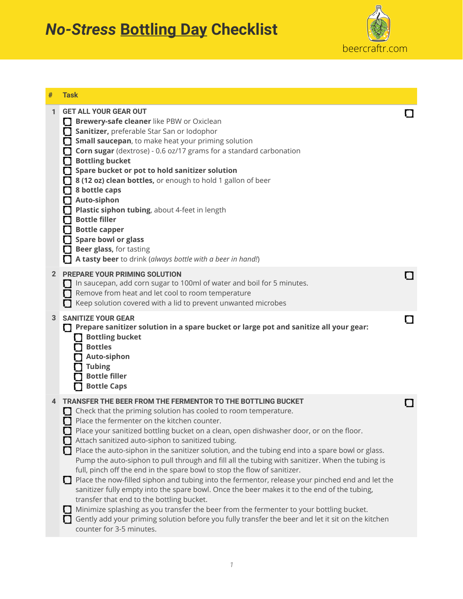## *No-Stress* **Bottling Day Checklist**



| #            | <b>Task</b>                                                                                                                                                                                                                                                                                                                                                                                                                                                                                                                                                                                                                                                                                                                                                                                                                                                                                                                                                                                                                                                                                              |  |
|--------------|----------------------------------------------------------------------------------------------------------------------------------------------------------------------------------------------------------------------------------------------------------------------------------------------------------------------------------------------------------------------------------------------------------------------------------------------------------------------------------------------------------------------------------------------------------------------------------------------------------------------------------------------------------------------------------------------------------------------------------------------------------------------------------------------------------------------------------------------------------------------------------------------------------------------------------------------------------------------------------------------------------------------------------------------------------------------------------------------------------|--|
| 1            | <b>GET ALL YOUR GEAR OUT</b><br>Brewery-safe cleaner like PBW or Oxiclean<br>O<br>Sanitizer, preferable Star San or Iodophor<br>Ω<br>Small saucepan, to make heat your priming solution<br><b>Corn sugar</b> (dextrose) - 0.6 oz/17 grams for a standard carbonation<br><b>Bottling bucket</b><br>Spare bucket or pot to hold sanitizer solution<br>8 (12 oz) clean bottles, or enough to hold 1 gallon of beer<br>8 bottle caps<br>Auto-siphon<br>Π<br>Plastic siphon tubing, about 4-feet in length<br><b>Bottle filler</b><br><b>Bottle capper</b><br>Spare bowl or glass<br>Beer glass, for tasting<br>A tasty beer to drink (always bottle with a beer in hand!)                                                                                                                                                                                                                                                                                                                                                                                                                                    |  |
| $\mathbf{2}$ | <b>PREPARE YOUR PRIMING SOLUTION</b><br>In saucepan, add corn sugar to 100ml of water and boil for 5 minutes.<br>Remove from heat and let cool to room temperature<br>Keep solution covered with a lid to prevent unwanted microbes                                                                                                                                                                                                                                                                                                                                                                                                                                                                                                                                                                                                                                                                                                                                                                                                                                                                      |  |
| 3            | <b>SANITIZE YOUR GEAR</b><br>Prepare sanitizer solution in a spare bucket or large pot and sanitize all your gear:<br>1 I<br><b>Bottling bucket</b><br><b>Bottles</b><br>Auto-siphon<br><b>Tubing</b><br><b>Bottle filler</b><br><b>Bottle Caps</b>                                                                                                                                                                                                                                                                                                                                                                                                                                                                                                                                                                                                                                                                                                                                                                                                                                                      |  |
|              | <b>TRANSFER THE BEER FROM THE FERMENTOR TO THE BOTTLING BUCKET</b><br>Check that the priming solution has cooled to room temperature.<br>Place the fermenter on the kitchen counter.<br>Place your sanitized bottling bucket on a clean, open dishwasher door, or on the floor.<br>Attach sanitized auto-siphon to sanitized tubing.<br>Place the auto-siphon in the sanitizer solution, and the tubing end into a spare bowl or glass.<br>Pump the auto-siphon to pull through and fill all the tubing with sanitizer. When the tubing is<br>full, pinch off the end in the spare bowl to stop the flow of sanitizer.<br>Place the now-filled siphon and tubing into the fermentor, release your pinched end and let the<br>1 I<br>sanitizer fully empty into the spare bowl. Once the beer makes it to the end of the tubing,<br>transfer that end to the bottling bucket.<br>Minimize splashing as you transfer the beer from the fermenter to your bottling bucket.<br>Gently add your priming solution before you fully transfer the beer and let it sit on the kitchen<br>counter for 3-5 minutes. |  |